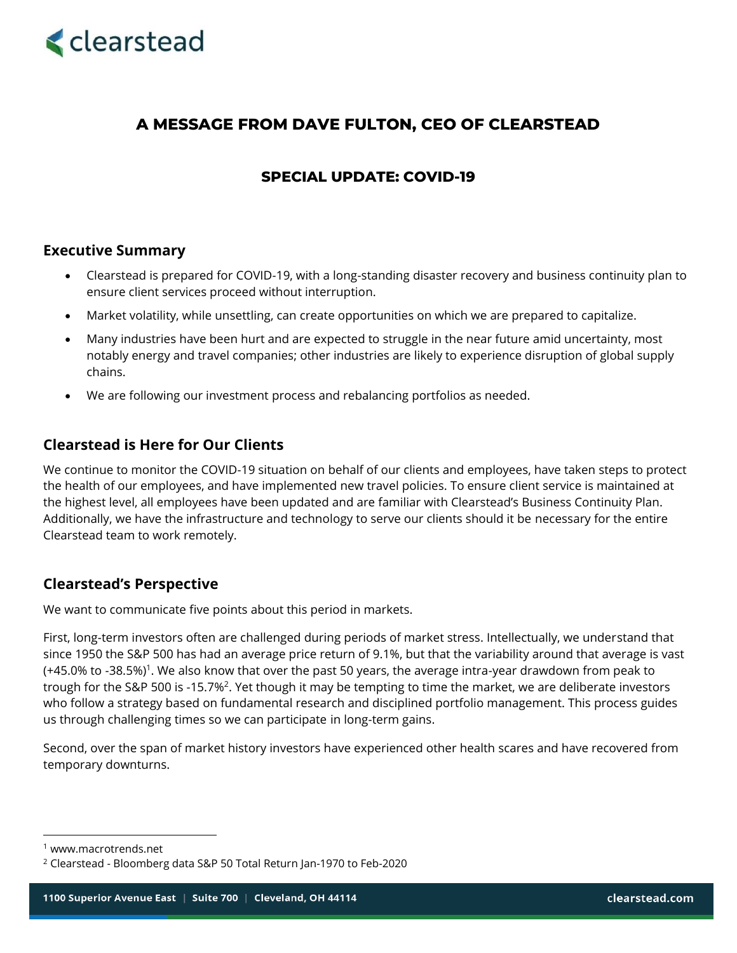

# **A MESSAGE FROM DAVE FULTON, CEO OF CLEARSTEAD**

## **SPECIAL UPDATE: COVID-19**

#### **Executive Summary**

- Clearstead is prepared for COVID-19, with a long-standing disaster recovery and business continuity plan to ensure client services proceed without interruption.
- Market volatility, while unsettling, can create opportunities on which we are prepared to capitalize.
- Many industries have been hurt and are expected to struggle in the near future amid uncertainty, most notably energy and travel companies; other industries are likely to experience disruption of global supply chains.
- We are following our investment process and rebalancing portfolios as needed.

#### **Clearstead is Here for Our Clients**

We continue to monitor the COVID-19 situation on behalf of our clients and employees, have taken steps to protect the health of our employees, and have implemented new travel policies. To ensure client service is maintained at the highest level, all employees have been updated and are familiar with Clearstead's Business Continuity Plan. Additionally, we have the infrastructure and technology to serve our clients should it be necessary for the entire Clearstead team to work remotely.

### **Clearstead's Perspective**

We want to communicate five points about this period in markets.

First, long-term investors often are challenged during periods of market stress. Intellectually, we understand that since 1950 the S&P 500 has had an average price return of 9.1%, but that the variability around that average is vast (+45.0% to -38.5%)<sup>1</sup>. We also know that over the past 50 years, the average intra-year drawdown from peak to trough for the S&P 500 is -15.7%<sup>2</sup>. Yet though it may be tempting to time the market, we are deliberate investors who follow a strategy based on fundamental research and disciplined portfolio management. This process guides us through challenging times so we can participate in long-term gains.

Second, over the span of market history investors have experienced other health scares and have recovered from temporary downturns.

<sup>1</sup> www.macrotrends.net

<sup>2</sup> Clearstead - Bloomberg data S&P 50 Total Return Jan-1970 to Feb-2020